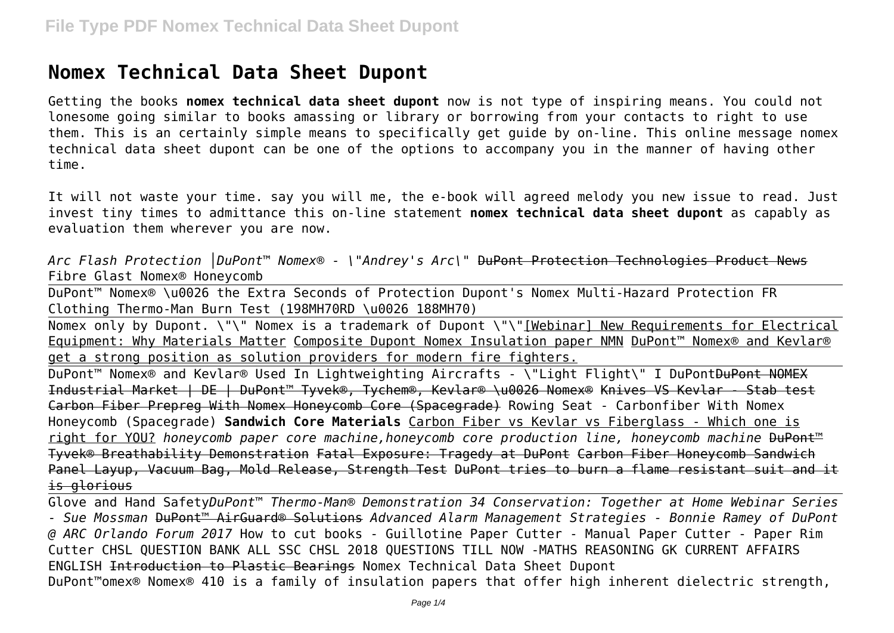# **Nomex Technical Data Sheet Dupont**

Getting the books **nomex technical data sheet dupont** now is not type of inspiring means. You could not lonesome going similar to books amassing or library or borrowing from your contacts to right to use them. This is an certainly simple means to specifically get guide by on-line. This online message nomex technical data sheet dupont can be one of the options to accompany you in the manner of having other time.

It will not waste your time. say you will me, the e-book will agreed melody you new issue to read. Just invest tiny times to admittance this on-line statement **nomex technical data sheet dupont** as capably as evaluation them wherever you are now.

*Arc Flash Protection │DuPont™ Nomex® - \"Andrey's Arc\"* DuPont Protection Technologies Product News Fibre Glast Nomex® Honeycomb

DuPont™ Nomex® \u0026 the Extra Seconds of Protection Dupont's Nomex Multi-Hazard Protection FR Clothing Thermo-Man Burn Test (198MH70RD \u0026 188MH70)

Nomex only by Dupont. \"\" Nomex is a trademark of Dupont \"\"[Webinar] New Requirements for Electrical Equipment: Why Materials Matter Composite Dupont Nomex Insulation paper NMN DuPont™ Nomex® and Kevlar® get a strong position as solution providers for modern fire fighters.

DuPont<sup>™</sup> Nomex® and Kevlar® Used In Lightweighting Aircrafts - \"Light Flight\" I DuPont<del>DuPont NOMEX</del> Industrial Market | DE | DuPont™ Tyvek®, Tychem®, Kevlar® \u0026 Nomex® Knives VS Kevlar - Stab test Carbon Fiber Prepreg With Nomex Honeycomb Core (Spacegrade) Rowing Seat - Carbonfiber With Nomex Honeycomb (Spacegrade) **Sandwich Core Materials** Carbon Fiber vs Kevlar vs Fiberglass - Which one is right for YOU? *honeycomb paper core machine,honeycomb core production line, honeycomb machine* DuPont™ Tyvek® Breathability Demonstration Fatal Exposure: Tragedy at DuPont Carbon Fiber Honeycomb Sandwich Panel Layup, Vacuum Bag, Mold Release, Strength Test DuPont tries to burn a flame resistant suit and it is glorious

Glove and Hand Safety*DuPont™ Thermo-Man® Demonstration 34 Conservation: Together at Home Webinar Series - Sue Mossman* DuPont™ AirGuard® Solutions *Advanced Alarm Management Strategies - Bonnie Ramey of DuPont @ ARC Orlando Forum 2017* How to cut books - Guillotine Paper Cutter - Manual Paper Cutter - Paper Rim Cutter CHSL QUESTION BANK ALL SSC CHSL 2018 QUESTIONS TILL NOW -MATHS REASONING GK CURRENT AFFAIRS ENGLISH Introduction to Plastic Bearings Nomex Technical Data Sheet Dupont DuPont™omex® Nomex® 410 is a family of insulation papers that offer high inherent dielectric strength,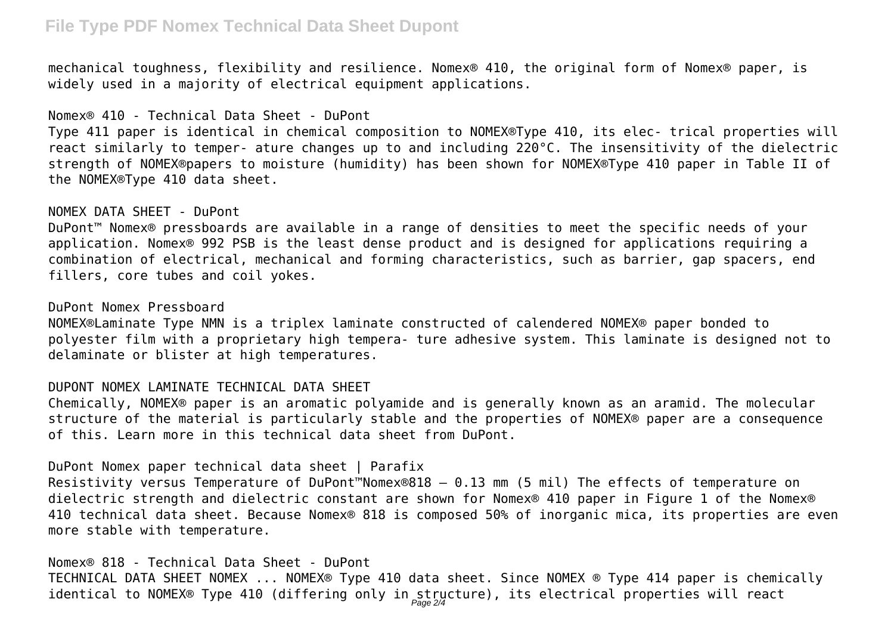## **File Type PDF Nomex Technical Data Sheet Dupont**

mechanical toughness, flexibility and resilience. Nomex® 410, the original form of Nomex® paper, is widely used in a majority of electrical equipment applications.

#### Nomex® 410 - Technical Data Sheet - DuPont

Type 411 paper is identical in chemical composition to NOMEX®Type 410, its elec- trical properties will react similarly to temper- ature changes up to and including 220°C. The insensitivity of the dielectric strength of NOMEX®papers to moisture (humidity) has been shown for NOMEX®Type 410 paper in Table II of the NOMEX®Type 410 data sheet.

#### NOMEX DATA SHEET - DuPont

DuPont™ Nomex® pressboards are available in a range of densities to meet the specific needs of your application. Nomex® 992 PSB is the least dense product and is designed for applications requiring a combination of electrical, mechanical and forming characteristics, such as barrier, gap spacers, end fillers, core tubes and coil yokes.

### DuPont Nomex Pressboard

NOMEX®Laminate Type NMN is a triplex laminate constructed of calendered NOMEX® paper bonded to polyester film with a proprietary high tempera- ture adhesive system. This laminate is designed not to delaminate or blister at high temperatures.

### DUPONT NOMEX LAMINATE TECHNICAL DATA SHEET

Chemically, NOMEX® paper is an aromatic polyamide and is generally known as an aramid. The molecular structure of the material is particularly stable and the properties of NOMEX® paper are a consequence of this. Learn more in this technical data sheet from DuPont.

DuPont Nomex paper technical data sheet | Parafix

Resistivity versus Temperature of DuPont™Nomex®818 — 0.13 mm (5 mil) The effects of temperature on dielectric strength and dielectric constant are shown for Nomex® 410 paper in Figure 1 of the Nomex® 410 technical data sheet. Because Nomex® 818 is composed 50% of inorganic mica, its properties are even more stable with temperature.

### Nomex® 818 - Technical Data Sheet - DuPont

TECHNICAL DATA SHEET NOMEX ... NOMEX® Type 410 data sheet. Since NOMEX ® Type 414 paper is chemically identical to NOMEX® Type 410 (differing only in structure), its electrical properties will react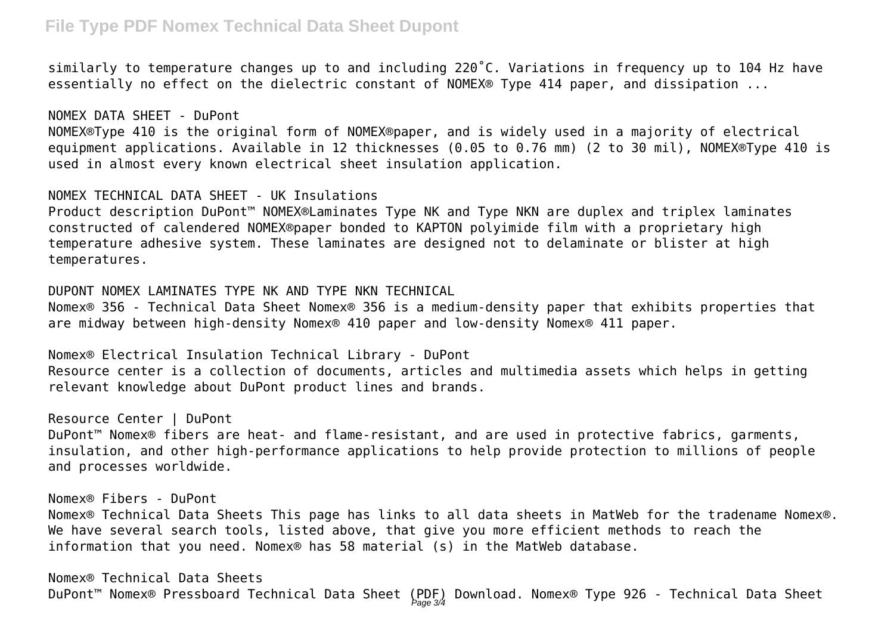## **File Type PDF Nomex Technical Data Sheet Dupont**

similarly to temperature changes up to and including 220˚C. Variations in frequency up to 104 Hz have essentially no effect on the dielectric constant of NOMEX® Type 414 paper, and dissipation ...

NOMEX DATA SHEET - DuPont NOMEX®Type 410 is the original form of NOMEX®paper, and is widely used in a majority of electrical equipment applications. Available in 12 thicknesses (0.05 to 0.76 mm) (2 to 30 mil), NOMEX®Type 410 is used in almost every known electrical sheet insulation application.

NOMEX TECHNICAL DATA SHEET - UK Insulations

Product description DuPont™ NOMEX®Laminates Type NK and Type NKN are duplex and triplex laminates constructed of calendered NOMEX®paper bonded to KAPTON polyimide film with a proprietary high temperature adhesive system. These laminates are designed not to delaminate or blister at high temperatures.

DUPONT NOMEX LAMINATES TYPE NK AND TYPE NKN TECHNICAL Nomex® 356 - Technical Data Sheet Nomex® 356 is a medium-density paper that exhibits properties that are midway between high-density Nomex® 410 paper and low-density Nomex® 411 paper.

Nomex® Electrical Insulation Technical Library - DuPont Resource center is a collection of documents, articles and multimedia assets which helps in getting relevant knowledge about DuPont product lines and brands.

Resource Center | DuPont DuPont™ Nomex® fibers are heat- and flame-resistant, and are used in protective fabrics, garments, insulation, and other high-performance applications to help provide protection to millions of people and processes worldwide.

Nomex® Fibers - DuPont Nomex® Technical Data Sheets This page has links to all data sheets in MatWeb for the tradename Nomex®. We have several search tools, listed above, that give you more efficient methods to reach the information that you need. Nomex® has 58 material (s) in the MatWeb database.

Nomex® Technical Data Sheets DuPont™ Nomex® Pressboard Technical Data Sheet (PDF) Download. Nomex® Type 926 - Technical Data Sheet